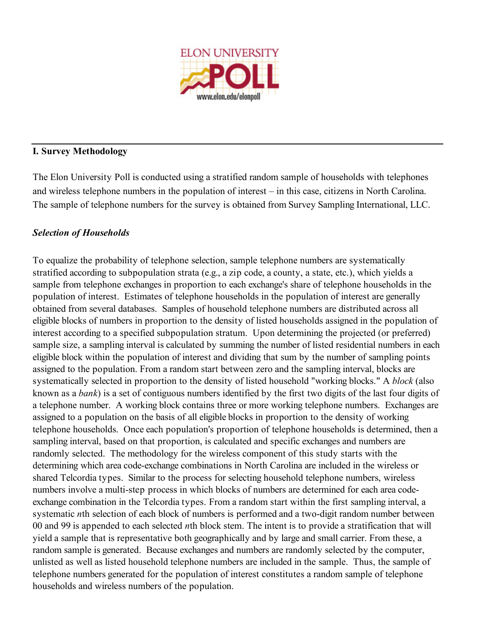

# **I. Survey Methodology**

The Elon University Poll is conducted using a stratified random sample of households with telephones and wireless telephone numbers in the population of interest – in this case, citizens in North Carolina. The sample of telephone numbers for the survey is obtained from Survey Sampling International, LLC.

# *Selection of Households*

To equalize the probability of telephone selection, sample telephone numbers are systematically stratified according to subpopulation strata (e.g., a zip code, a county, a state, etc.), which yields a sample from telephone exchanges in proportion to each exchange's share of telephone households in the population of interest. Estimates of telephone households in the population of interest are generally obtained from several databases. Samples of household telephone numbers are distributed across all eligible blocks of numbers in proportion to the density of listed households assigned in the population of interest according to a specified subpopulation stratum. Upon determining the projected (or preferred) sample size, a sampling interval is calculated by summing the number of listed residential numbers in each eligible block within the population of interest and dividing that sum by the number of sampling points assigned to the population. From a random start between zero and the sampling interval, blocks are systematically selected in proportion to the density of listed household "working blocks." A *block* (also known as a *bank*) is a set of contiguous numbers identified by the first two digits of the last four digits of a telephone number. A working block contains three or more working telephone numbers. Exchanges are assigned to a population on the basis of all eligible blocks in proportion to the density of working telephone households. Once each population's proportion of telephone households is determined, then a sampling interval, based on that proportion, is calculated and specific exchanges and numbers are randomly selected. The methodology for the wireless component of this study starts with the determining which area code-exchange combinations in North Carolina are included in the wireless or shared Telcordia types. Similar to the process for selecting household telephone numbers, wireless numbers involve a multi-step process in which blocks of numbers are determined for each area codeexchange combination in the Telcordia types. From a random start within the first sampling interval, a systematic *n*th selection of each block of numbers is performed and a two-digit random number between 00 and 99 is appended to each selected *n*th block stem. The intent is to provide a stratification that will yield a sample that is representative both geographically and by large and small carrier. From these, a random sample is generated. Because exchanges and numbers are randomly selected by the computer, unlisted as well as listed household telephone numbers are included in the sample. Thus, the sample of telephone numbers generated for the population of interest constitutes a random sample of telephone households and wireless numbers of the population.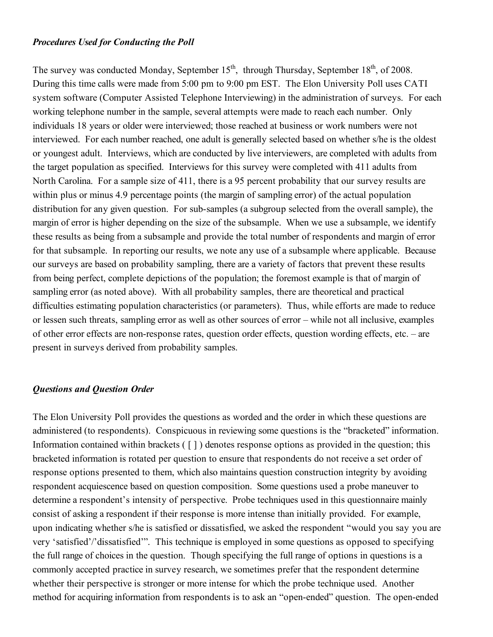#### *Procedures Used for Conducting the Poll*

The survey was conducted Monday, September  $15<sup>th</sup>$ , through Thursday, September  $18<sup>th</sup>$ , of 2008. During this time calls were made from 5:00 pm to 9:00 pm EST. The Elon University Poll uses CATI system software (Computer Assisted Telephone Interviewing) in the administration of surveys. For each working telephone number in the sample, several attempts were made to reach each number. Only individuals 18 years or older were interviewed; those reached at business or work numbers were not interviewed. For each number reached, one adult is generally selected based on whether s/he is the oldest or youngest adult. Interviews, which are conducted by live interviewers, are completed with adults from the target population as specified. Interviews for this survey were completed with 411 adults from North Carolina. For a sample size of 411, there is a 95 percent probability that our survey results are within plus or minus 4.9 percentage points (the margin of sampling error) of the actual population distribution for any given question. For sub-samples (a subgroup selected from the overall sample), the margin of error is higher depending on the size of the subsample. When we use a subsample, we identify these results as being from a subsample and provide the total number of respondents and margin of error for that subsample. In reporting our results, we note any use of a subsample where applicable. Because our surveys are based on probability sampling, there are a variety of factors that prevent these results from being perfect, complete depictions of the population; the foremost example is that of margin of sampling error (as noted above). With all probability samples, there are theoretical and practical difficulties estimating population characteristics (or parameters). Thus, while efforts are made to reduce or lessen such threats, sampling error as well as other sources of error – while not all inclusive, examples of other error effects are non-response rates, question order effects, question wording effects, etc. – are present in surveys derived from probability samples.

## *Questions and Question Order*

The Elon University Poll provides the questions as worded and the order in which these questions are administered (to respondents). Conspicuous in reviewing some questions is the "bracketed" information. Information contained within brackets ( [ ] ) denotes response options as provided in the question; this bracketed information is rotated per question to ensure that respondents do not receive a set order of response options presented to them, which also maintains question construction integrity by avoiding respondent acquiescence based on question composition. Some questions used a probe maneuver to determine a respondent's intensity of perspective. Probe techniques used in this questionnaire mainly consist of asking a respondent if their response is more intense than initially provided. For example, upon indicating whether s/he is satisfied or dissatisfied, we asked the respondent "would you say you are very 'satisfied'/'dissatisfied'". This technique is employed in some questions as opposed to specifying the full range of choices in the question. Though specifying the full range of options in questions is a commonly accepted practice in survey research, we sometimes prefer that the respondent determine whether their perspective is stronger or more intense for which the probe technique used. Another method for acquiring information from respondents is to ask an "open-ended" question. The open-ended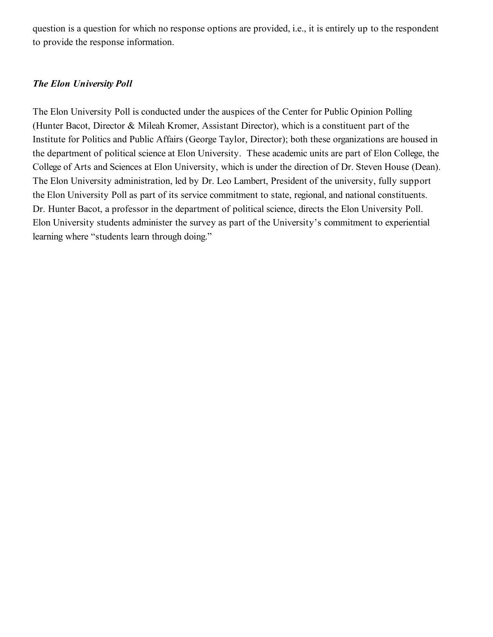question is a question for which no response options are provided, i.e., it is entirely up to the respondent to provide the response information.

# *The Elon University Poll*

The Elon University Poll is conducted under the auspices of the Center for Public Opinion Polling (Hunter Bacot, Director & Mileah Kromer, Assistant Director), which is a constituent part of the Institute for Politics and Public Affairs (George Taylor, Director); both these organizations are housed in the department of political science at Elon University. These academic units are part of Elon College, the College of Arts and Sciences at Elon University, which is under the direction of Dr. Steven House (Dean). The Elon University administration, led by Dr. Leo Lambert, President of the university, fully support the Elon University Poll as part of its service commitment to state, regional, and national constituents. Dr. Hunter Bacot, a professor in the department of political science, directs the Elon University Poll. Elon University students administer the survey as part of the University's commitment to experiential learning where "students learn through doing."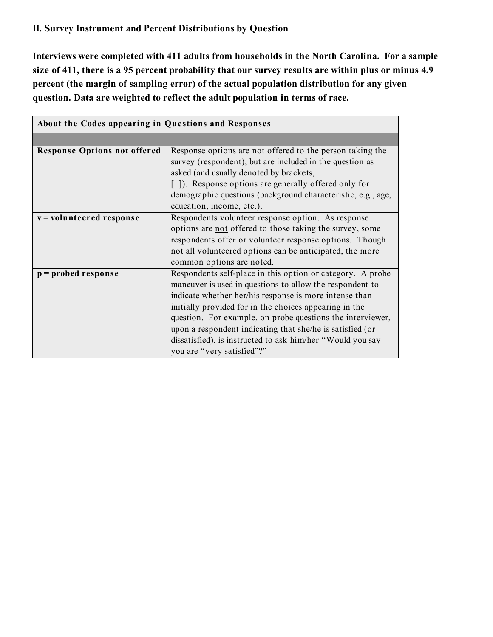# **II. Survey Instrument and Percent Distributions by Question**

**Interviews were completed with 411 adults from households in the North Carolina. For a sample size of 411, there is a 95 percent probability that our survey results are within plus or minus 4.9 percent (the margin of sampling error) of the actual population distribution for any given question. Data are weighted to reflect the adult population in terms of race.**

| About the Codes appearing in Questions and Responses |                                                              |  |  |  |  |
|------------------------------------------------------|--------------------------------------------------------------|--|--|--|--|
|                                                      |                                                              |  |  |  |  |
| <b>Response Options not offered</b>                  | Response options are not offered to the person taking the    |  |  |  |  |
|                                                      | survey (respondent), but are included in the question as     |  |  |  |  |
|                                                      | asked (and usually denoted by brackets,                      |  |  |  |  |
|                                                      | []). Response options are generally offered only for         |  |  |  |  |
|                                                      | demographic questions (background characteristic, e.g., age, |  |  |  |  |
|                                                      | education, income, etc.).                                    |  |  |  |  |
| v = volunteered response                             | Respondents volunteer response option. As response           |  |  |  |  |
|                                                      | options are not offered to those taking the survey, some     |  |  |  |  |
|                                                      | respondents offer or volunteer response options. Though      |  |  |  |  |
|                                                      | not all volunteered options can be anticipated, the more     |  |  |  |  |
|                                                      | common options are noted.                                    |  |  |  |  |
| $p =$ probed response                                | Respondents self-place in this option or category. A probe   |  |  |  |  |
|                                                      | maneuver is used in questions to allow the respondent to     |  |  |  |  |
|                                                      | indicate whether her/his response is more intense than       |  |  |  |  |
|                                                      | initially provided for in the choices appearing in the       |  |  |  |  |
|                                                      | question. For example, on probe questions the interviewer,   |  |  |  |  |
|                                                      | upon a respondent indicating that she/he is satisfied (or    |  |  |  |  |
|                                                      | dissatisfied), is instructed to ask him/her "Would you say   |  |  |  |  |
|                                                      | you are "very satisfied"?"                                   |  |  |  |  |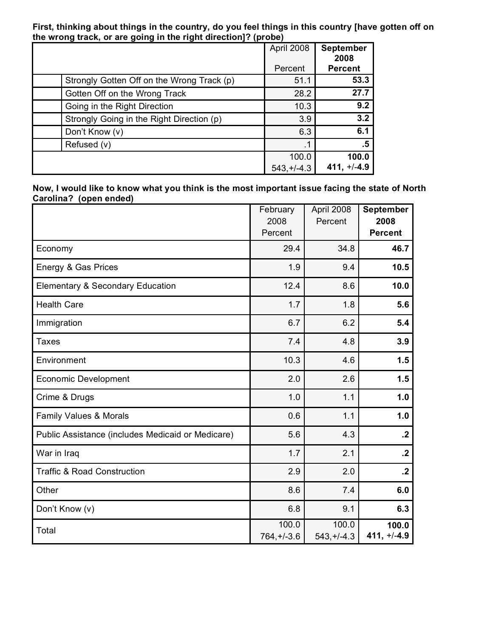**First, thinking about things in the country, do you feel things in this country [have gotten off on the wrong track, or are going in the right direction]? (probe)**

|                                            | April 2008   | <b>September</b><br>2008 |
|--------------------------------------------|--------------|--------------------------|
|                                            | Percent      | <b>Percent</b>           |
| Strongly Gotten Off on the Wrong Track (p) | 51.1         | 53.3                     |
| Gotten Off on the Wrong Track              | 28.2         | 27.7                     |
| Going in the Right Direction               | 10.3         | 9.2                      |
| Strongly Going in the Right Direction (p)  | 3.9          | 3.2                      |
| Don't Know (v)                             | 6.3          | 6.1                      |
| Refused (v)                                | $\cdot$ 1    | .5                       |
|                                            | 100.0        | 100.0                    |
|                                            | $543.+/-4.3$ | $411, +/-4.9$            |

**Now, I would like to know what you think is the most important issue facing the state of North Carolina? (open ended)**

|                                                   | February<br>2008<br>Percent | April 2008<br>Percent | September<br>2008<br><b>Percent</b> |
|---------------------------------------------------|-----------------------------|-----------------------|-------------------------------------|
| Economy                                           | 29.4                        | 34.8                  | 46.7                                |
| Energy & Gas Prices                               | 1.9                         | 9.4                   | 10.5                                |
| <b>Elementary &amp; Secondary Education</b>       | 12.4                        | 8.6                   | 10.0                                |
| <b>Health Care</b>                                | 1.7                         | 1.8                   | 5.6                                 |
| Immigration                                       | 6.7                         | 6.2                   | 5.4                                 |
| <b>Taxes</b>                                      | 7.4                         | 4.8                   | 3.9                                 |
| Environment                                       | 10.3                        | 4.6                   | 1.5                                 |
| <b>Economic Development</b>                       | 2.0                         | 2.6                   | 1.5                                 |
| Crime & Drugs                                     | 1.0                         | 1.1                   | 1.0                                 |
| <b>Family Values &amp; Morals</b>                 | 0.6                         | 1.1                   | 1.0                                 |
| Public Assistance (includes Medicaid or Medicare) | 5.6                         | 4.3                   | $\cdot$                             |
| War in Iraq                                       | 1.7                         | 2.1                   | $\cdot$                             |
| <b>Traffic &amp; Road Construction</b>            | 2.9                         | 2.0                   | $\cdot$                             |
| Other                                             | 8.6                         | 7.4                   | 6.0                                 |
| Don't Know (v)                                    | 6.8                         | 9.1                   | 6.3                                 |
| Total                                             | 100.0<br>$764, +/-3.6$      | 100.0<br>$543,+/-4.3$ | 100.0<br>$411, +/-4.9$              |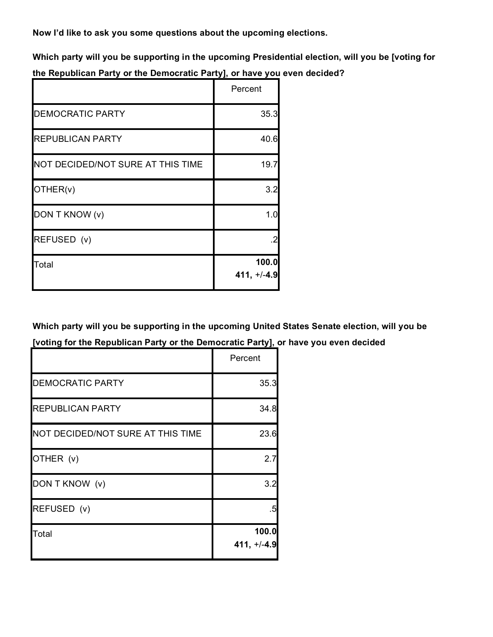**Now I'd like to ask you some questions about the upcoming elections.**

**Which party will you be supporting in the upcoming Presidential election, will you be [voting for the Republican Party or the Democratic Party], or have you even decided?**

|                                   | Percent                |
|-----------------------------------|------------------------|
| <b>DEMOCRATIC PARTY</b>           | 35.3                   |
| <b>REPUBLICAN PARTY</b>           | 40.6                   |
| NOT DECIDED/NOT SURE AT THIS TIME | 19.7                   |
| OTHER(v)                          | 3.2                    |
| DON T KNOW (v)                    | 1.0 <sub>l</sub>       |
| REFUSED (v)                       |                        |
| Total                             | 100.0<br>$411, +/-4.9$ |

**Which party will you be supporting in the upcoming United States Senate election, will you be [voting for the Republican Party or the Democratic Party], or have you even decided**

|                                   | Percent                |
|-----------------------------------|------------------------|
| <b>DEMOCRATIC PARTY</b>           | 35.3                   |
| <b>REPUBLICAN PARTY</b>           | 34.8                   |
| NOT DECIDED/NOT SURE AT THIS TIME | 23.6                   |
| OTHER (v)                         | 2.7                    |
| DON T KNOW (v)                    | 3.2 <sub>l</sub>       |
| REFUSED (v)                       | .5                     |
| Total                             | 100.0<br>$411, +/-4.9$ |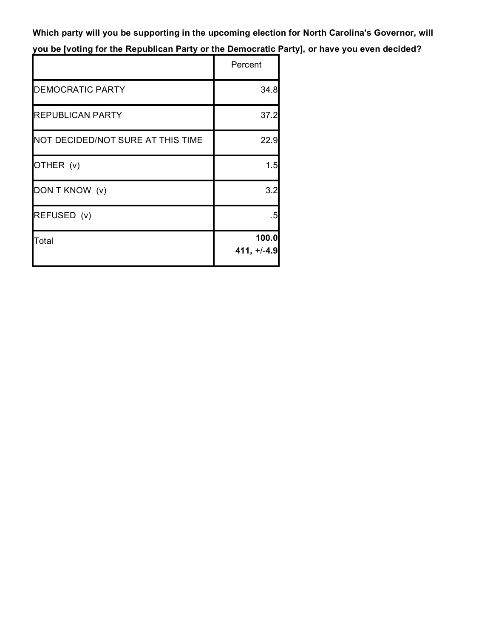**Which party will you be supporting in the upcoming election for North Carolina's Governor, will you be [voting for the Republican Party or the Democratic Party], or have you even decided?**

|                                   | Percent                |
|-----------------------------------|------------------------|
| <b>DEMOCRATIC PARTY</b>           | 34.8                   |
| <b>REPUBLICAN PARTY</b>           | 37.2                   |
| NOT DECIDED/NOT SURE AT THIS TIME | 22.9                   |
| OTHER (v)                         | 1.5                    |
| DON T KNOW (v)                    | 3.2                    |
| REFUSED (v)                       | .5                     |
| Total                             | 100.0<br>$411, +/-4.9$ |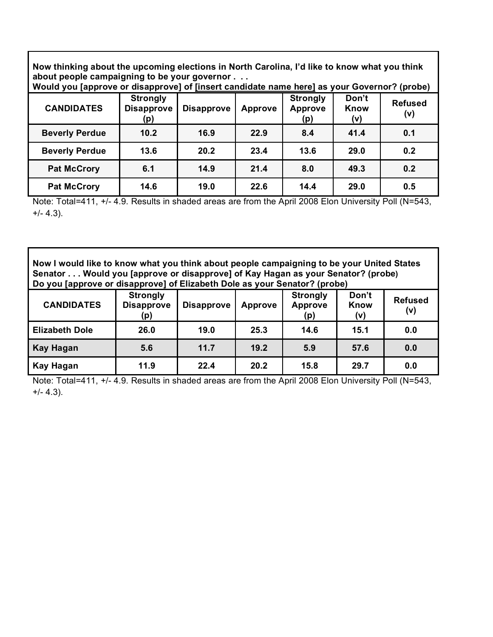**Now thinking about the upcoming elections in North Carolina, I'd like to know what you think about people campaigning to be your governor . . . Would you [approve or disapprove] of [insert candidate name here] as your Governor? (probe)**

| (probe) would you approve or disapprovel or linsert candidate hame here) as your Governor? (probe) |                                             |                   |                |                                          |                      |                       |
|----------------------------------------------------------------------------------------------------|---------------------------------------------|-------------------|----------------|------------------------------------------|----------------------|-----------------------|
| <b>CANDIDATES</b>                                                                                  | <b>Strongly</b><br><b>Disapprove</b><br>(p) | <b>Disapprove</b> | <b>Approve</b> | <b>Strongly</b><br><b>Approve</b><br>(p) | Don't<br>Know<br>(v) | <b>Refused</b><br>(v) |
| <b>Beverly Perdue</b>                                                                              | 10.2                                        | 16.9              | 22.9           | 8.4                                      | 41.4                 | 0.1                   |
| <b>Beverly Perdue</b>                                                                              | 13.6                                        | 20.2              | 23.4           | 13.6                                     | 29.0                 | 0.2                   |
| <b>Pat McCrory</b>                                                                                 | 6.1                                         | 14.9              | 21.4           | 8.0                                      | 49.3                 | 0.2                   |
| <b>Pat McCrory</b>                                                                                 | 14.6                                        | 19.0              | 22.6           | 14.4                                     | 29.0                 | 0.5                   |

Note: Total=411, +/- 4.9. Results in shaded areas are from the April 2008 Elon University Poll (N=543,  $+/- 4.3$ ).

**Now I would like to know what you think about people campaigning to be your United States Senator . . . Would you [approve or disapprove] of Kay Hagan as your Senator? (probe) Do you [approve or disapprove] of Elizabeth Dole as your Senator? (probe)**

| .                     |                                             |                   |                |                                          |                      |                       |
|-----------------------|---------------------------------------------|-------------------|----------------|------------------------------------------|----------------------|-----------------------|
| <b>CANDIDATES</b>     | <b>Strongly</b><br><b>Disapprove</b><br>(p) | <b>Disapprove</b> | <b>Approve</b> | <b>Strongly</b><br><b>Approve</b><br>(p) | Don't<br>Know<br>(v) | <b>Refused</b><br>(v) |
| <b>Elizabeth Dole</b> | 26.0                                        | 19.0              | 25.3           | 14.6                                     | 15.1                 | 0.0                   |
| <b>Kay Hagan</b>      | 5.6                                         | 11.7              | 19.2           | 5.9                                      | 57.6                 | 0.0                   |
| Kay Hagan             | 11.9                                        | 22.4              | 20.2           | 15.8                                     | 29.7                 | 0.0                   |

Note: Total=411, +/- 4.9. Results in shaded areas are from the April 2008 Elon University Poll (N=543,  $+/- 4.3$ ).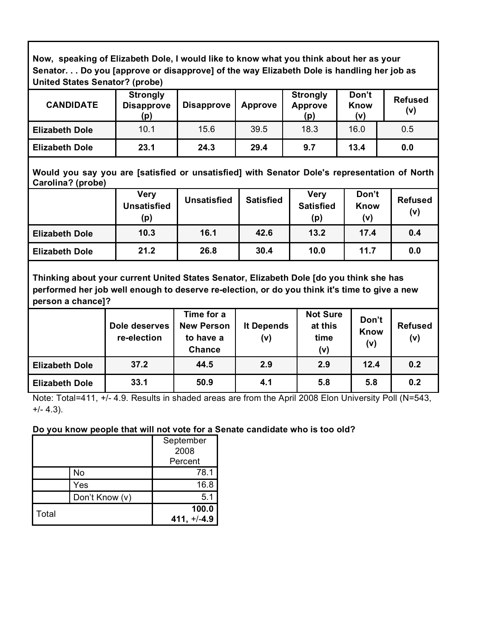**Now, speaking of Elizabeth Dole, I would like to know what you think about her as your Senator. . . Do you [approve or disapprove] of the way Elizabeth Dole is handling her job as United States Senator? (probe)**

| <b>CANDIDATE</b>      | <b>Strongly</b><br><b>Disapprove</b><br>(p) | <b>Disapprove</b> | <b>Approve</b> | <b>Strongly</b><br><b>Approve</b><br>(p) | Don't<br>Know<br>(v) | <b>Refused</b><br>(v) |
|-----------------------|---------------------------------------------|-------------------|----------------|------------------------------------------|----------------------|-----------------------|
| <b>Elizabeth Dole</b> | 10.1                                        | 15.6              | 39.5           | 18.3                                     | 16.0                 | 0.5                   |
| <b>Elizabeth Dole</b> | 23.1                                        | 24.3              | 29.4           | 9.7                                      | 13.4                 | 0.0                   |

**Would you say you are [satisfied or unsatisfied] with Senator Dole's representation of North Carolina? (probe)**

|                       | <b>Very</b><br><b>Unsatisfied</b><br>(p) | <b>Unsatisfied</b> | <b>Satisfied</b> | <b>Very</b><br><b>Satisfied</b><br>(p) | Don't<br>Know<br>(v) | <b>Refused</b><br>(v) |
|-----------------------|------------------------------------------|--------------------|------------------|----------------------------------------|----------------------|-----------------------|
| <b>Elizabeth Dole</b> | 10.3                                     | 16.1               | 42.6             | 13.2                                   | 17.4                 | 0.4                   |
| <b>Elizabeth Dole</b> | 21.2                                     | 26.8               | 30.4             | 10.0                                   | 11.7                 | 0.0                   |

**Thinking about your current United States Senator, Elizabeth Dole [do you think she has performed her job well enough to deserve re-election, or do you think it's time to give a new person a chance]?**

|                       | Dole deserves<br>re-election | Time for a<br><b>New Person</b><br>to have a<br><b>Chance</b> | It Depends<br>(v) | <b>Not Sure</b><br>at this<br>time<br>(v) | Don't<br>Know<br>(v) | <b>Refused</b><br>(v) |
|-----------------------|------------------------------|---------------------------------------------------------------|-------------------|-------------------------------------------|----------------------|-----------------------|
| <b>Elizabeth Dole</b> | 37.2                         | 44.5                                                          | 2.9               | 2.9                                       | 12.4                 | 0.2                   |
| <b>Elizabeth Dole</b> | 33.1                         | 50.9                                                          | 4.1               | 5.8                                       | 5.8                  | 0.2                   |

Note: Total=411, +/- 4.9. Results in shaded areas are from the April 2008 Elon University Poll (N=543, +/- 4.3).

## **Do you know people that will not vote for a Senate candidate who is too old?**

|       |                | September<br>2008<br>Percent |
|-------|----------------|------------------------------|
|       | No             | 78.1                         |
|       | Yes            | 16.8                         |
|       | Don't Know (v) | 5.1                          |
| Total |                | 100.0<br>$411, +/-4.9$       |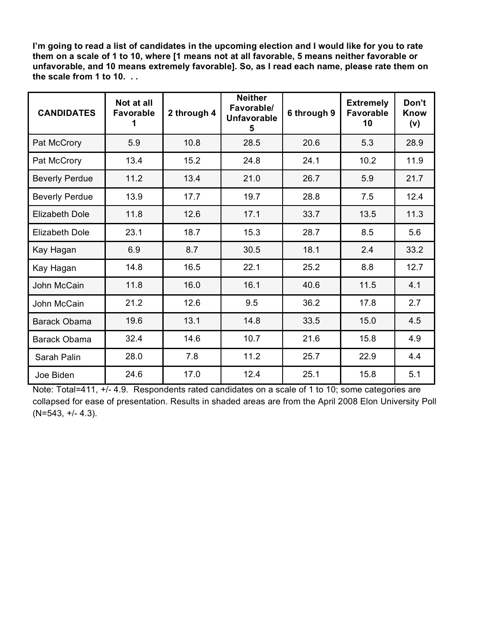**I'm going to read a list of candidates in the upcoming election and I would like for you to rate them on a scale of 1 to 10, where [1 means not at all favorable, 5 means neither favorable or unfavorable, and 10 means extremely favorable]. So, as I read each name, please rate them on the scale from 1 to 10. . .**

| <b>CANDIDATES</b>     | Not at all<br><b>Favorable</b><br>1 | 2 through 4 | <b>Neither</b><br>Favorable/<br><b>Unfavorable</b><br>5 | 6 through 9 | <b>Extremely</b><br><b>Favorable</b><br>10 | Don't<br><b>Know</b><br>(v) |
|-----------------------|-------------------------------------|-------------|---------------------------------------------------------|-------------|--------------------------------------------|-----------------------------|
| Pat McCrory           | 5.9                                 | 10.8        | 28.5                                                    | 20.6        | 5.3                                        | 28.9                        |
| Pat McCrory           | 13.4                                | 15.2        | 24.8                                                    | 24.1        | 10.2                                       | 11.9                        |
| <b>Beverly Perdue</b> | 11.2                                | 13.4        | 21.0                                                    | 26.7        | 5.9                                        | 21.7                        |
| <b>Beverly Perdue</b> | 13.9                                | 17.7        | 19.7                                                    | 28.8        | 7.5                                        | 12.4                        |
| <b>Elizabeth Dole</b> | 11.8                                | 12.6        | 17.1                                                    | 33.7        | 13.5                                       | 11.3                        |
| <b>Elizabeth Dole</b> | 23.1                                | 18.7        | 15.3                                                    | 28.7        | 8.5                                        | 5.6                         |
| Kay Hagan             | 6.9                                 | 8.7         | 30.5                                                    | 18.1        | 2.4                                        | 33.2                        |
| Kay Hagan             | 14.8                                | 16.5        | 22.1                                                    | 25.2        | 8.8                                        | 12.7                        |
| John McCain           | 11.8                                | 16.0        | 16.1                                                    | 40.6        | 11.5                                       | 4.1                         |
| John McCain           | 21.2                                | 12.6        | 9.5                                                     | 36.2        | 17.8                                       | 2.7                         |
| <b>Barack Obama</b>   | 19.6                                | 13.1        | 14.8                                                    | 33.5        | 15.0                                       | 4.5                         |
| <b>Barack Obama</b>   | 32.4                                | 14.6        | 10.7                                                    | 21.6        | 15.8                                       | 4.9                         |
| Sarah Palin           | 28.0                                | 7.8         | 11.2                                                    | 25.7        | 22.9                                       | 4.4                         |
| Joe Biden             | 24.6                                | 17.0        | 12.4                                                    | 25.1        | 15.8                                       | 5.1                         |

Note: Total=411, +/- 4.9. Respondents rated candidates on a scale of 1 to 10; some categories are collapsed for ease of presentation. Results in shaded areas are from the April 2008 Elon University Poll  $(N=543, +/- 4.3)$ .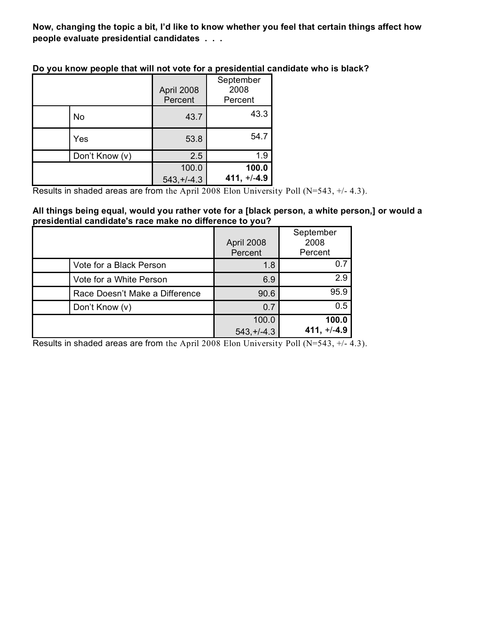**Now, changing the topic a bit, I'd like to know whether you feel that certain things affect how people evaluate presidential candidates . . .**

|                | April 2008<br>Percent | September<br>2008<br>Percent |
|----------------|-----------------------|------------------------------|
| No             | 43.7                  | 43.3                         |
| Yes            | 53.8                  | 54.7                         |
| Don't Know (v) | 2.5                   | 1.9                          |
|                | 100.0                 | 100.0                        |
|                | $543,+/-4.3$          | $411, +/-4.9$                |

**Do you know people that will not vote for a presidential candidate who is black?**

Results in shaded areas are from the April 2008 Elon University Poll (N=543, +/- 4.3).

#### **All things being equal, would you rather vote for a [black person, a white person,] or would a presidential candidate's race make no difference to you?**

|                                | April 2008<br>Percent | September<br>2008<br>Percent |
|--------------------------------|-----------------------|------------------------------|
| Vote for a Black Person        | 1.8                   | 0.7                          |
| Vote for a White Person        | 6.9                   | 2.9                          |
| Race Doesn't Make a Difference | 90.6                  | 95.9                         |
| Don't Know (v)                 | 0.7                   | 0.5                          |
|                                | 100.0                 | 100.0                        |
|                                | $543, +14.3$          | $+/-4.9$<br>411.             |

Results in shaded areas are from the April 2008 Elon University Poll (N=543, +/- 4.3).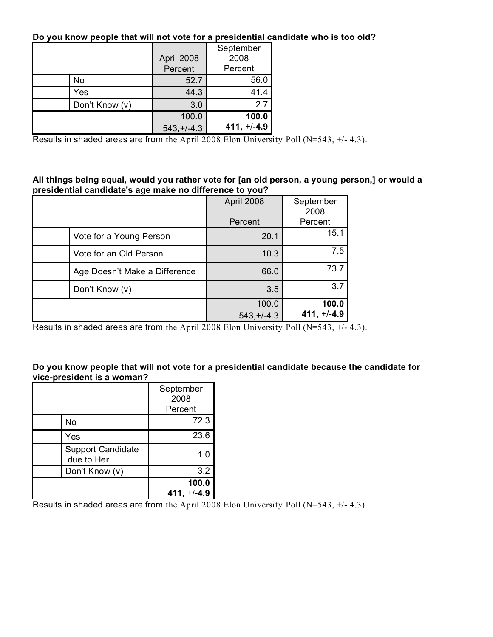## **Do you know people that will not vote for a presidential candidate who is too old?**

|                | April 2008   | September<br>2008 |
|----------------|--------------|-------------------|
|                | Percent      | Percent           |
| No             | 52.7         | 56.0              |
| Yes            | 44.3         | 41.4              |
| Don't Know (v) | 3.0          | 2.7               |
|                | 100.0        | 100.0             |
|                | $543.+/-4.3$ | $411, +/-4.9$     |

Results in shaded areas are from the April 2008 Elon University Poll (N=543, +/- 4.3).

#### **All things being equal, would you rather vote for [an old person, a young person,] or would a presidential candidate's age make no difference to you?**

|                               | April 2008   | September<br>2008 |
|-------------------------------|--------------|-------------------|
|                               | Percent      | Percent           |
| Vote for a Young Person       | 20.1         | 15.1              |
| Vote for an Old Person        | 10.3         | 7.5               |
| Age Doesn't Make a Difference | 66.0         | 73.7              |
| Don't Know (v)                | 3.5          | 3.7               |
|                               | 100.0        | 100.0             |
|                               | $543,+/-4.3$ | $411, +/-4.9$     |

Results in shaded areas are from the April 2008 Elon University Poll (N=543, +/- 4.3).

## **Do you know people that will not vote for a presidential candidate because the candidate for vice-president is a woman?**

|                                        | September<br>2008<br>Percent |
|----------------------------------------|------------------------------|
| No                                     | 72.3                         |
| Yes                                    | 23.6                         |
| <b>Support Candidate</b><br>due to Her | 1.0                          |
| Don't Know (v)                         | 3.2                          |
|                                        | 100.0<br>$+/-4.9$<br>411,    |

Results in shaded areas are from the April 2008 Elon University Poll (N=543, +/- 4.3).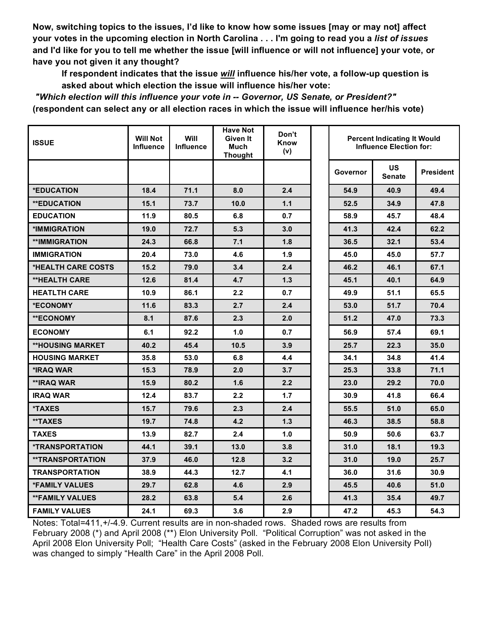**Now, switching topics to the issues, I'd like to know how some issues [may or may not] affect your votes in the upcoming election in North Carolina . . . I'm going to read you a** *list of issues* **and I'd like for you to tell me whether the issue [will influence or will not influence] your vote, or have you not given it any thought?**

**If respondent indicates that the issue** *will* **influence his/her vote, a follow-up question is asked about which election the issue will influence his/her vote:** 

*"Which election will this influence your vote in -- Governor, US Senate, or President?"* **(respondent can select any or all election races in which the issue will influence her/his vote)**

| <b>ISSUE</b>                  | <b>Will Not</b><br>Influence | Will<br><b>Influence</b> | <b>Have Not</b><br>Given It<br>Much<br><b>Thought</b> | Don't<br>Know<br>(v) | <b>Percent Indicating It Would</b><br><b>Influence Election for:</b> |                      |                  |
|-------------------------------|------------------------------|--------------------------|-------------------------------------------------------|----------------------|----------------------------------------------------------------------|----------------------|------------------|
|                               |                              |                          |                                                       |                      | Governor                                                             | US.<br><b>Senate</b> | <b>President</b> |
| *EDUCATION                    | 18.4                         | 71.1                     | 8.0                                                   | 2.4                  | 54.9                                                                 | 40.9                 | 49.4             |
| <b>**EDUCATION</b>            | 15.1                         | 73.7                     | 10.0                                                  | 1.1                  | 52.5                                                                 | 34.9                 | 47.8             |
| <b>EDUCATION</b>              | 11.9                         | 80.5                     | 6.8                                                   | 0.7                  | 58.9                                                                 | 45.7                 | 48.4             |
| *IMMIGRATION                  | 19.0                         | 72.7                     | 5.3                                                   | 3.0                  | 41.3                                                                 | 42.4                 | 62.2             |
| <b>**IMMIGRATION</b>          | 24.3                         | 66.8                     | 7.1                                                   | 1.8                  | 36.5                                                                 | 32.1                 | 53.4             |
| <b>IMMIGRATION</b>            | 20.4                         | 73.0                     | 4.6                                                   | 1.9                  | 45.0                                                                 | 45.0                 | 57.7             |
| *HEALTH CARE COSTS            | 15.2                         | 79.0                     | 3.4                                                   | 2.4                  | 46.2                                                                 | 46.1                 | 67.1             |
| <b>**HEALTH CARE</b>          | 12.6                         | 81.4                     | 4.7                                                   | 1.3                  | 45.1                                                                 | 40.1                 | 64.9             |
| <b>HEATLTH CARE</b>           | 10.9                         | 86.1                     | $2.2\phantom{0}$                                      | 0.7                  | 49.9                                                                 | 51.1                 | 65.5             |
| *ECONOMY                      | 11.6                         | 83.3                     | 2.7                                                   | 2.4                  | 53.0                                                                 | 51.7                 | 70.4             |
| <b>**ECONOMY</b>              | 8.1                          | 87.6                     | 2.3                                                   | 2.0                  | 51.2                                                                 | 47.0                 | 73.3             |
| <b>ECONOMY</b>                | 6.1                          | 92.2                     | 1.0                                                   | 0.7                  | 56.9                                                                 | 57.4                 | 69.1             |
| <b>**HOUSING MARKET</b>       | 40.2                         | 45.4                     | 10.5                                                  | 3.9                  | 25.7                                                                 | 22.3                 | 35.0             |
| <b>HOUSING MARKET</b>         | 35.8                         | 53.0                     | 6.8                                                   | 4.4                  | 34.1                                                                 | 34.8                 | 41.4             |
| *IRAQ WAR                     | 15.3                         | 78.9                     | 2.0                                                   | 3.7                  | 25.3                                                                 | 33.8                 | 71.1             |
| **IRAQ WAR                    | 15.9                         | 80.2                     | 1.6                                                   | 2.2                  | 23.0                                                                 | 29.2                 | 70.0             |
| <b>IRAQ WAR</b>               | 12.4                         | 83.7                     | 2.2                                                   | 1.7                  | 30.9                                                                 | 41.8                 | 66.4             |
| <b>*TAXES</b>                 | 15.7                         | 79.6                     | 2.3                                                   | 2.4                  | 55.5                                                                 | 51.0                 | 65.0             |
| **TAXES                       | 19.7                         | 74.8                     | 4.2                                                   | 1.3                  | 46.3                                                                 | 38.5                 | 58.8             |
| <b>TAXES</b>                  | 13.9                         | 82.7                     | 2.4                                                   | 1.0                  | 50.9                                                                 | 50.6                 | 63.7             |
| <i><b>*TRANSPORTATION</b></i> | 44.1                         | 39.1                     | 13.0                                                  | 3.8                  | 31.0                                                                 | 18.1                 | 19.3             |
| <b>**TRANSPORTATION</b>       | 37.9                         | 46.0                     | 12.8                                                  | 3.2                  | 31.0                                                                 | 19.0                 | 25.7             |
| <b>TRANSPORTATION</b>         | 38.9                         | 44.3                     | 12.7                                                  | 4.1                  | 36.0                                                                 | 31.6                 | 30.9             |
| <b>*FAMILY VALUES</b>         | 29.7                         | 62.8                     | 4.6                                                   | 2.9                  | 45.5                                                                 | 40.6                 | 51.0             |
| <b>**FAMILY VALUES</b>        | 28.2                         | 63.8                     | 5.4                                                   | 2.6                  | 41.3                                                                 | 35.4                 | 49.7             |
| <b>FAMILY VALUES</b>          | 24.1                         | 69.3                     | 3.6                                                   | 2.9                  | 47.2                                                                 | 45.3                 | 54.3             |

Notes: Total=411,+/-4.9. Current results are in non-shaded rows. Shaded rows are results from February 2008 (\*) and April 2008 (\*\*) Elon University Poll. "Political Corruption" was not asked in the April 2008 Elon University Poll; "Health Care Costs" (asked in the February 2008 Elon University Poll) was changed to simply "Health Care" in the April 2008 Poll.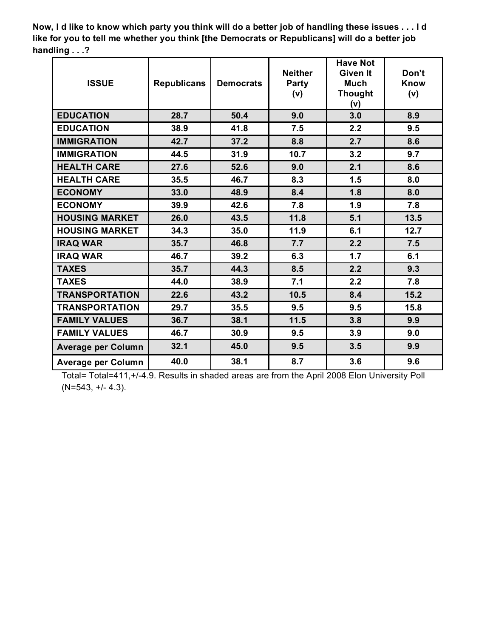**Now, I d like to know which party you think will do a better job of handling these issues . . . I d like for you to tell me whether you think [the Democrats or Republicans] will do a better job handling . . .?**

| <b>ISSUE</b>              | <b>Republicans</b> | <b>Democrats</b> | <b>Neither</b><br><b>Party</b><br>(v) | <b>Have Not</b><br><b>Given It</b><br><b>Much</b><br><b>Thought</b><br>(v) | Don't<br><b>Know</b><br>(v) |
|---------------------------|--------------------|------------------|---------------------------------------|----------------------------------------------------------------------------|-----------------------------|
| <b>EDUCATION</b>          | 28.7               | 50.4             | 9.0                                   | 3.0                                                                        | 8.9                         |
| <b>EDUCATION</b>          | 38.9               | 41.8             | 7.5                                   | 2.2                                                                        | 9.5                         |
| <b>IMMIGRATION</b>        | 42.7               | 37.2             | 8.8                                   | 2.7                                                                        | 8.6                         |
| <b>IMMIGRATION</b>        | 44.5               | 31.9             | 10.7                                  | 3.2                                                                        | 9.7                         |
| <b>HEALTH CARE</b>        | 27.6               | 52.6             | 9.0                                   | 2.1                                                                        | 8.6                         |
| <b>HEALTH CARE</b>        | 35.5               | 46.7             | 8.3                                   | 1.5                                                                        | 8.0                         |
| <b>ECONOMY</b>            | 33.0               | 48.9             | 8.4                                   | 1.8                                                                        | 8.0                         |
| <b>ECONOMY</b>            | 39.9               | 42.6             | 7.8                                   | 1.9                                                                        | 7.8                         |
| <b>HOUSING MARKET</b>     | 26.0               | 43.5             | 11.8                                  | 5.1                                                                        | 13.5                        |
| <b>HOUSING MARKET</b>     | 34.3               | 35.0             | 11.9                                  | 6.1                                                                        | 12.7                        |
| <b>IRAQ WAR</b>           | 35.7               | 46.8             | 7.7                                   | 2.2                                                                        | 7.5                         |
| <b>IRAQ WAR</b>           | 46.7               | 39.2             | 6.3                                   | 1.7                                                                        | 6.1                         |
| <b>TAXES</b>              | 35.7               | 44.3             | 8.5                                   | 2.2                                                                        | 9.3                         |
| <b>TAXES</b>              | 44.0               | 38.9             | 7.1                                   | 2.2                                                                        | 7.8                         |
| <b>TRANSPORTATION</b>     | 22.6               | 43.2             | 10.5                                  | 8.4                                                                        | 15.2                        |
| <b>TRANSPORTATION</b>     | 29.7               | 35.5             | 9.5                                   | 9.5                                                                        | 15.8                        |
| <b>FAMILY VALUES</b>      | 36.7               | 38.1             | 11.5                                  | 3.8                                                                        | 9.9                         |
| <b>FAMILY VALUES</b>      | 46.7               | 30.9             | 9.5                                   | 3.9                                                                        | 9.0                         |
| <b>Average per Column</b> | 32.1               | 45.0             | 9.5                                   | 3.5                                                                        | 9.9                         |
| <b>Average per Column</b> | 40.0               | 38.1             | 8.7                                   | 3.6                                                                        | 9.6                         |

Total= Total=411,+/-4.9. Results in shaded areas are from the April 2008 Elon University Poll (N=543, +/- 4.3).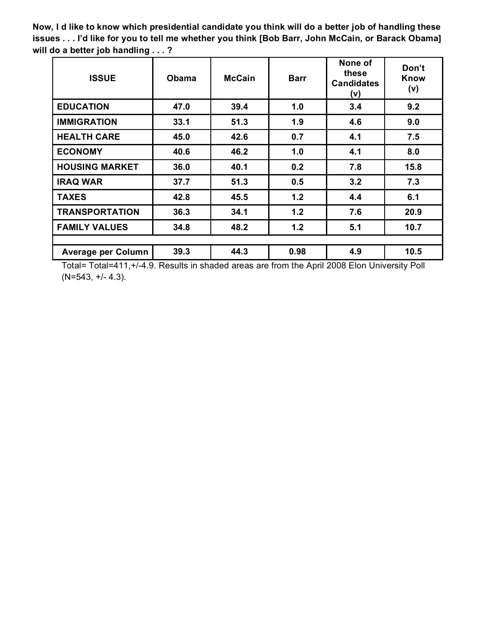**Now, I d like to know which presidential candidate you think will do a better job of handling these issues . . . I'd like for you to tell me whether you think [Bob Barr, John McCain, or Barack Obama] will do a better job handling . . . ?**

| <b>ISSUE</b>              | <b>Obama</b> | <b>McCain</b> | <b>Barr</b> | None of<br>these<br><b>Candidates</b><br>(v) | Don't<br>Know<br>(v) |
|---------------------------|--------------|---------------|-------------|----------------------------------------------|----------------------|
| <b>EDUCATION</b>          | 47.0         | 39.4          | 1.0         | 3.4                                          | 9.2                  |
| <b>IMMIGRATION</b>        | 33.1         | 51.3          | 1.9         | 4.6                                          | 9.0                  |
| <b>HEALTH CARE</b>        | 45.0         | 42.6          | 0.7         | 4.1                                          | 7.5                  |
| <b>ECONOMY</b>            | 40.6         | 46.2          | 1.0         | 4.1                                          | 8.0                  |
| <b>HOUSING MARKET</b>     | 36.0         | 40.1          | 0.2         | 7.8                                          | 15.8                 |
| <b>IRAQ WAR</b>           | 37.7         | 51.3          | 0.5         | 3.2                                          | 7.3                  |
| <b>TAXES</b>              | 42.8         | 45.5          | 1.2         | 4.4                                          | 6.1                  |
| <b>TRANSPORTATION</b>     | 36.3         | 34.1          | 1.2         | 7.6                                          | 20.9                 |
| <b>FAMILY VALUES</b>      | 34.8         | 48.2          | 1.2         | 5.1                                          | 10.7                 |
|                           |              |               |             |                                              |                      |
| <b>Average per Column</b> | 39.3         | 44.3          | 0.98        | 4.9                                          | 10.5                 |

Total= Total=411,+/-4.9. Results in shaded areas are from the April 2008 Elon University Poll (N=543, +/- 4.3).